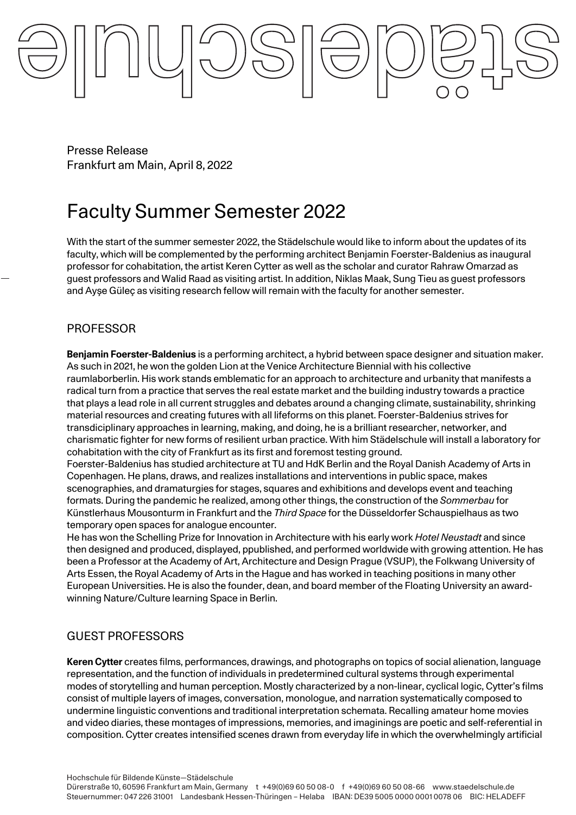Presse Release Frankfurt am Main, April 8, 2022

# Faculty Summer Semester 2022

With the start of the summer semester 2022, the Städelschule would like to inform about the updates of its faculty, which will be complemented by the performing architect Benjamin Foerster-Baldenius as inaugural professor for cohabitation, the artist Keren Cytter as well as the scholar and curator Rahraw Omarzad as guest professors and Walid Raad as visiting artist. In addition, Niklas Maak, Sung Tieu as guest professors and Ayşe Güleç as visiting research fellow will remain with the faculty for another semester.

# PROFESSOR

**Benjamin Foerster-Baldenius** is a performing architect, a hybrid between space designer and situation maker. As such in 2021, he won the golden Lion at the Venice Architecture Biennial with his collective raumlaborberlin. His work stands emblematic for an approach to architecture and urbanity that manifests a radical turn from a practice that serves the real estate market and the building industry towards a practice that plays a lead role in all current struggles and debates around a changing climate, sustainability, shrinking material resources and creating futures with all lifeforms on this planet. Foerster-Baldenius strives for transdiciplinary approaches in learning, making, and doing, he is a brilliant researcher, networker, and charismatic fighter for new forms of resilient urban practice. With him Städelschule will install a laboratory for cohabitation with the city of Frankfurt as its first and foremost testing ground.

Foerster-Baldenius has studied architecture at TU and HdK Berlin and the Royal Danish Academy of Arts in Copenhagen. He plans, draws, and realizes installations and interventions in public space, makes scenographies, and dramaturgies for stages, squares and exhibitions and develops event and teaching formats. During the pandemic he realized, among other things, the construction of the *Sommerbau* for Künstlerhaus Mousonturm in Frankfurt and the *Third Space* for the Düsseldorfer Schauspielhaus as two temporary open spaces for analogue encounter.

He has won the Schelling Prize for Innovation in Architecture with his early work *Hotel Neustadt* and since then designed and produced, displayed, ppublished, and performed worldwide with growing attention. He has been a Professor at the Academy of Art, Architecture and Design Prague (VSUP), the Folkwang University of Arts Essen, the Royal Academy of Arts in the Hague and has worked in teaching positions in many other European Universities. He is also the founder, dean, and board member of the Floating University an awardwinning Nature/Culture learning Space in Berlin.

# GUEST PROFESSORS

**Keren Cytter** creates films, performances, drawings, and photographs on topics of social alienation, language representation, and the function of individuals in predetermined cultural systems through experimental modes of storytelling and human perception. Mostly characterized by a non-linear, cyclical logic, Cytter's films consist of multiple layers of images, conversation, monologue, and narration systematically composed to undermine linguistic conventions and traditional interpretation schemata. Recalling amateur home movies and video diaries, these montages of impressions, memories, and imaginings are poetic and self-referential in composition. Cytter creates intensified scenes drawn from everyday life in which the overwhelmingly artificial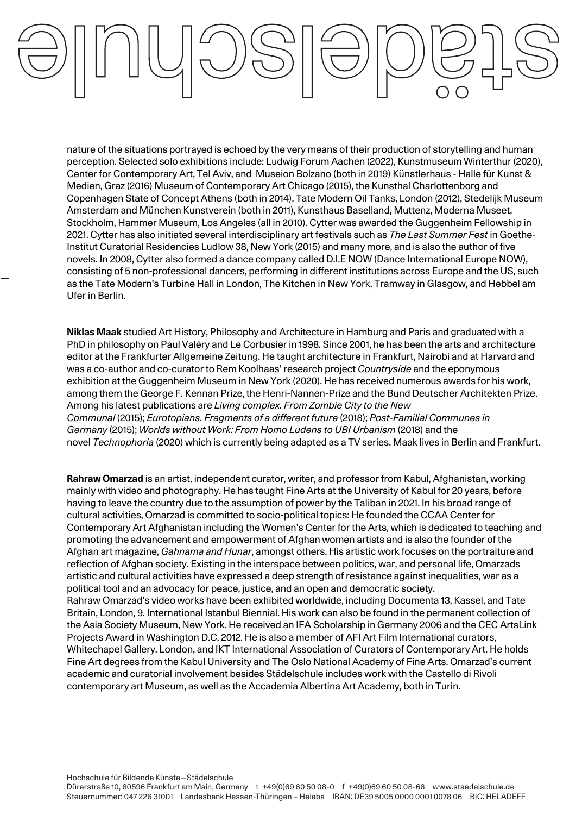nature of the situations portrayed is echoed by the very means of their production of storytelling and human perception. Selected solo exhibitions include: Ludwig Forum Aachen (2022), Kunstmuseum Winterthur (2020), Center for Contemporary Art, Tel Aviv, and Museion Bolzano (both in 2019) Künstlerhaus - Halle für Kunst & Medien, Graz (2016) Museum of Contemporary Art Chicago (2015), the Kunsthal Charlottenborg and Copenhagen State of Concept Athens (both in 2014), Tate Modern Oil Tanks, London (2012), Stedelijk Museum Amsterdam and München Kunstverein (both in 2011), Kunsthaus Baselland, Muttenz, Moderna Museet, Stockholm, Hammer Museum, Los Angeles (all in 2010). Cytter was awarded the Guggenheim Fellowship in 2021. Cytter has also initiated several interdisciplinary art festivals such as *The Last Summer Fest* in Goethe-Institut Curatorial Residencies Ludlow 38, New York (2015) and many more, and is also the author of five novels. In 2008, Cytter also formed a dance company called D.I.E NOW (Dance International Europe NOW), consisting of 5 non-professional dancers, performing in different institutions across Europe and the US, such as the Tate Modern's Turbine Hall in London, The Kitchen in New York, Tramway in Glasgow, and Hebbel am Ufer in Berlin.

**Niklas Maak** studied Art History, Philosophy and Architecture in Hamburg and Paris and graduated with a PhD in philosophy on Paul Valéry and Le Corbusier in 1998. Since 2001, he has been the arts and architecture editor at the Frankfurter Allgemeine Zeitung. He taught architecture in Frankfurt, Nairobi and at Harvard and was a co-author and co-curator to Rem Koolhaas' research project *Countryside* and the eponymous exhibition at the Guggenheim Museum in New York (2020). He has received numerous awards for his work, among them the George F. Kennan Prize, the Henri-Nannen-Prize and the Bund Deutscher Architekten Prize. Among his latest publications are *Living complex. From Zombie City to the New Communal* (2015); *Eurotopians. Fragments of a different future* (2018); *Post-Familial Communes in Germany* (2015); *Worlds without Work: From Homo Ludens to UBI Urbanism* (2018) and the novel *Technophoria* (2020) which is currently being adapted as a TV series. Maak lives in Berlin and Frankfurt.

**Rahraw Omarzad** is an artist, independent curator, writer, and professor from Kabul, Afghanistan, working mainly with video and photography. He has taught Fine Arts at the University of Kabul for 20 years, before having to leave the country due to the assumption of power by the Taliban in 2021. In his broad range of cultural activities, Omarzad is committed to socio-political topics: He founded the CCAA Center for Contemporary Art Afghanistan including the Women's Center for the Arts, which is dedicated to teaching and promoting the advancement and empowerment of Afghan women artists and is also the founder of the Afghan art magazine, *Gahnama and Hunar*, amongst others. His artistic work focuses on the portraiture and reflection of Afghan society. Existing in the interspace between politics, war, and personal life, Omarzads artistic and cultural activities have expressed a deep strength of resistance against inequalities, war as a political tool and an advocacy for peace, justice, and an open and democratic society. Rahraw Omarzad's video works have been exhibited worldwide, including Documenta 13, Kassel, and Tate Britain, London, 9. International Istanbul Biennial. His work can also be found in the permanent collection of the Asia Society Museum, New York. He received an IFA Scholarship in Germany 2006 and the CEC ArtsLink Projects Award in Washington D.C. 2012. He is also a member of AFI Art Film International curators, Whitechapel Gallery, London, and IKT International Association of Curators of Contemporary Art. He holds Fine Art degrees from the Kabul University and The Oslo National Academy of Fine Arts. Omarzad's current academic and curatorial involvement besides Städelschule includes work with the Castello di Rivoli contemporary art Museum, as well as the Accademia Albertina Art Academy, both in Turin.

Hochschule für Bildende Künste—Städelschule Dürerstraße 10, 60596 Frankfurt am Main, Germany t +49(0)69 60 50 08-0 f +49(0)69 60 50 08-66 www.staedelschule.de Steuernummer: 047 226 31001 Landesbank Hessen-Thüringen – Helaba IBAN: DE39 5005 0000 0001 0078 06 BIC: HELADEFF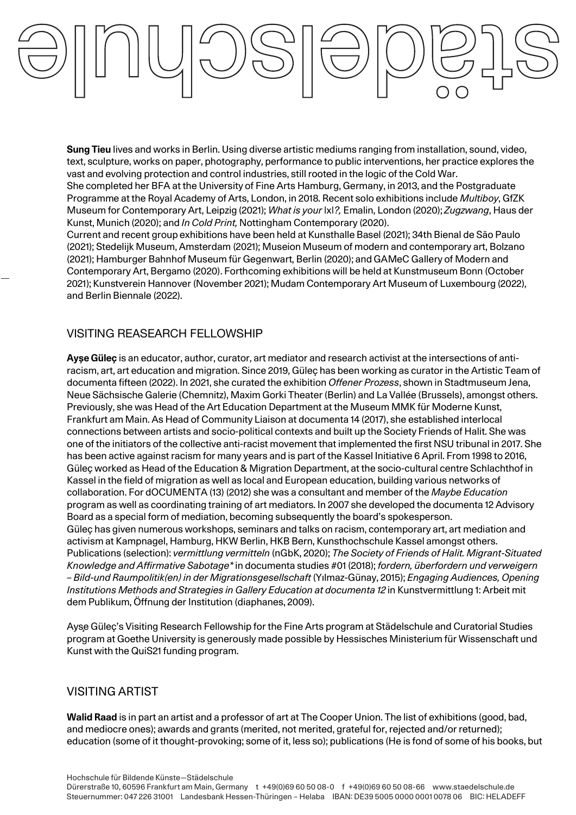**Sung Tieu** lives and works in Berlin. Using diverse artistic mediums ranging from installation, sound, video, text, sculpture, works on paper, photography, performance to public interventions, her practice explores the vast and evolving protection and control industries, still rooted in the logic of the Cold War.

She completed her BFA at the University of Fine Arts Hamburg, Germany, in 2013, and the Postgraduate Programme at the Royal Academy of Arts, London, in 2018. Recent solo exhibitions include *Multiboy*, GfZK Museum for Contemporary Art, Leipzig (2021); *What is your* |x|*?,* Emalin, London (2020); *Zugzwang*, Haus der Kunst, Munich (2020); and *In Cold Print,* Nottingham Contemporary (2020).

Current and recent group exhibitions have been held at Kunsthalle Basel (2021); 34th Bienal de São Paulo (2021); Stedelijk Museum, Amsterdam (2021); Museion Museum of modern and contemporary art, Bolzano (2021); Hamburger Bahnhof Museum für Gegenwart, Berlin (2020); and GAMeC Gallery of Modern and Contemporary Art, Bergamo (2020). Forthcoming exhibitions will be held at Kunstmuseum Bonn (October 2021); Kunstverein Hannover (November 2021); Mudam Contemporary Art Museum of Luxembourg (2022), and Berlin Biennale (2022).

### VISITING REASEARCH FELLOWSHIP

**Ayşe Güleç** is an educator, author, curator, art mediator and research activist at the intersections of antiracism, art, art education and migration. Since 2019, Güleç has been working as curator in the Artistic Team of documenta fifteen (2022). In 2021, she curated the exhibition *Offener Prozess*, shown in Stadtmuseum Jena, Neue Sächsische Galerie (Chemnitz), Maxim Gorki Theater (Berlin) and La Vallée (Brussels), amongst others. Previously, she was Head of the Art Education Department at the Museum MMK für Moderne Kunst, Frankfurt am Main. As Head of Community Liaison at documenta 14 (2017), she established interlocal connections between artists and socio-political contexts and built up the Society Friends of Halit. She was one of the initiators of the collective anti-racist movement that implemented the first NSU tribunal in 2017. She has been active against racism for many years and is part of the Kassel Initiative 6 April. From 1998 to 2016, Güleç worked as Head of the Education & Migration Department, at the socio-cultural centre Schlachthof in Kassel in the field of migration as well as local and European education, building various networks of collaboration. For dOCUMENTA (13) (2012) she was a consultant and member of the *Maybe Education*  program as well as coordinating training of art mediators. In 2007 she developed the documenta 12 Advisory Board as a special form of mediation, becoming subsequently the board's spokesperson. Güleç has given numerous workshops, seminars and talks on racism, contemporary art, art mediation and activism at Kampnagel, Hamburg, HKW Berlin, HKB Bern, Kunsthochschule Kassel amongst others. Publications (selection): *vermittlung vermitteln* (nGbK, 2020); *The Society of Friends of Halit. Migrant-Situated Knowledge and Affirmative Sabotage\** in documenta studies #01 (2018); *fordern, überfordern und verweigern – Bild-und Raumpolitik(en) in der Migrationsgesellschaft* (Yılmaz-Günay, 2015); *Engaging Audiences, Opening Institutions Methods and Strategies in Gallery Education at documenta 12* in Kunstvermittlung 1: Arbeit mit dem Publikum, Öffnung der Institution (diaphanes, 2009).

Ayşe Güleç's Visiting Research Fellowship for the Fine Arts program at Städelschule and Curatorial Studies program at Goethe University is generously made possible by Hessisches Ministerium für Wissenschaft und Kunst with the QuiS21 funding program.

# VISITING ARTIST

**Walid Raad** is in part an artist and a professor of art at The Cooper Union. The list of exhibitions (good, bad, and mediocre ones); awards and grants (merited, not merited, grateful for, rejected and/or returned); education (some of it thought-provoking; some of it, less so); publications (He is fond of some of his books, but